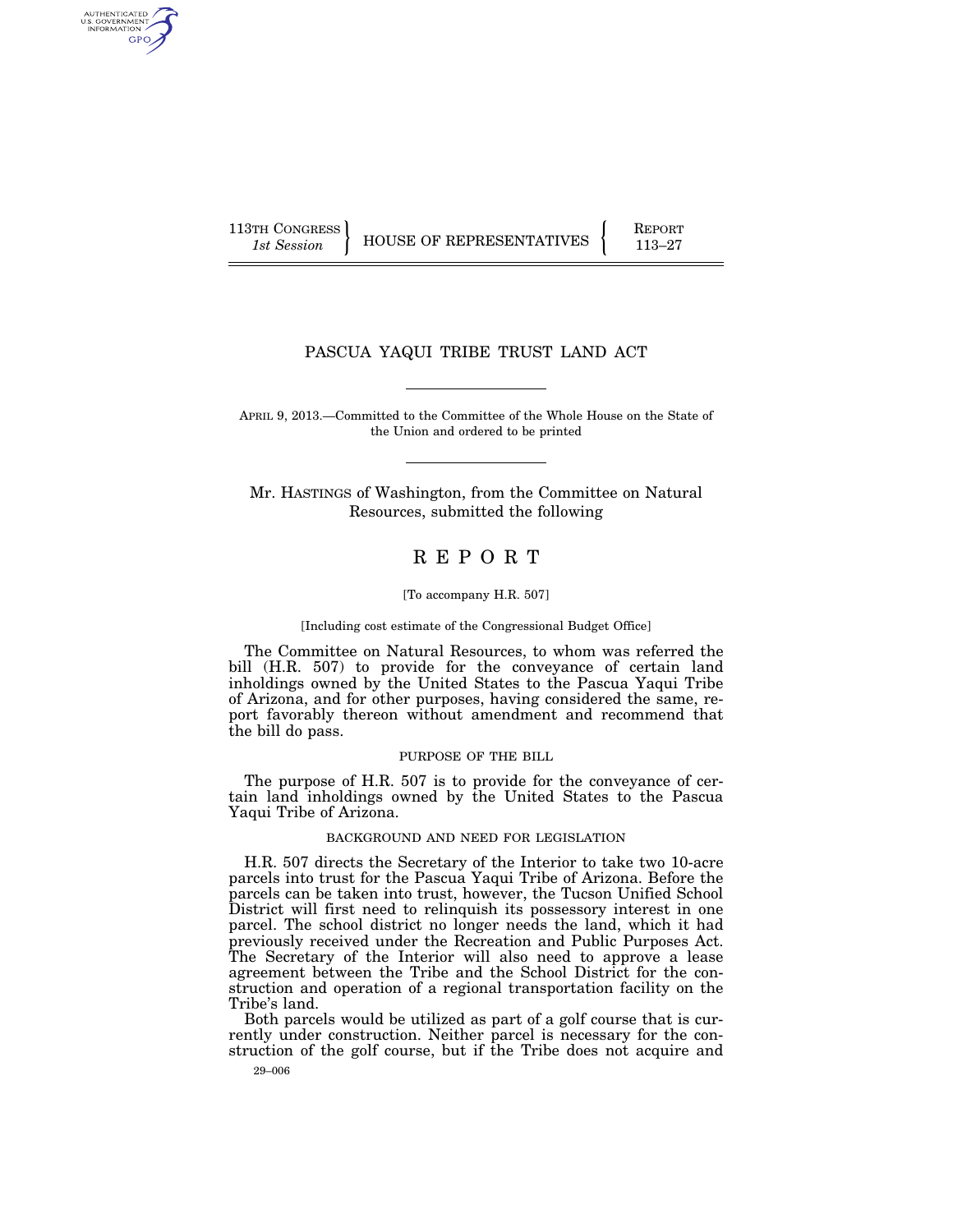AUTHENTICATED<br>U.S. GOVERNMENT<br>INFORMATION GPO

113TH CONGRESS **REPORT 113-27** HOUSE OF REPRESENTATIVES **PARTICLE** 

# PASCUA YAQUI TRIBE TRUST LAND ACT

APRIL 9, 2013.—Committed to the Committee of the Whole House on the State of the Union and ordered to be printed

Mr. HASTINGS of Washington, from the Committee on Natural Resources, submitted the following

# R E P O R T

#### [To accompany H.R. 507]

[Including cost estimate of the Congressional Budget Office]

The Committee on Natural Resources, to whom was referred the bill (H.R. 507) to provide for the conveyance of certain land inholdings owned by the United States to the Pascua Yaqui Tribe of Arizona, and for other purposes, having considered the same, report favorably thereon without amendment and recommend that the bill do pass.

### PURPOSE OF THE BILL

The purpose of H.R. 507 is to provide for the conveyance of certain land inholdings owned by the United States to the Pascua Yaqui Tribe of Arizona.

# BACKGROUND AND NEED FOR LEGISLATION

H.R. 507 directs the Secretary of the Interior to take two 10-acre parcels into trust for the Pascua Yaqui Tribe of Arizona. Before the parcels can be taken into trust, however, the Tucson Unified School District will first need to relinquish its possessory interest in one parcel. The school district no longer needs the land, which it had previously received under the Recreation and Public Purposes Act. The Secretary of the Interior will also need to approve a lease agreement between the Tribe and the School District for the construction and operation of a regional transportation facility on the Tribe's land.

Both parcels would be utilized as part of a golf course that is currently under construction. Neither parcel is necessary for the construction of the golf course, but if the Tribe does not acquire and

29–006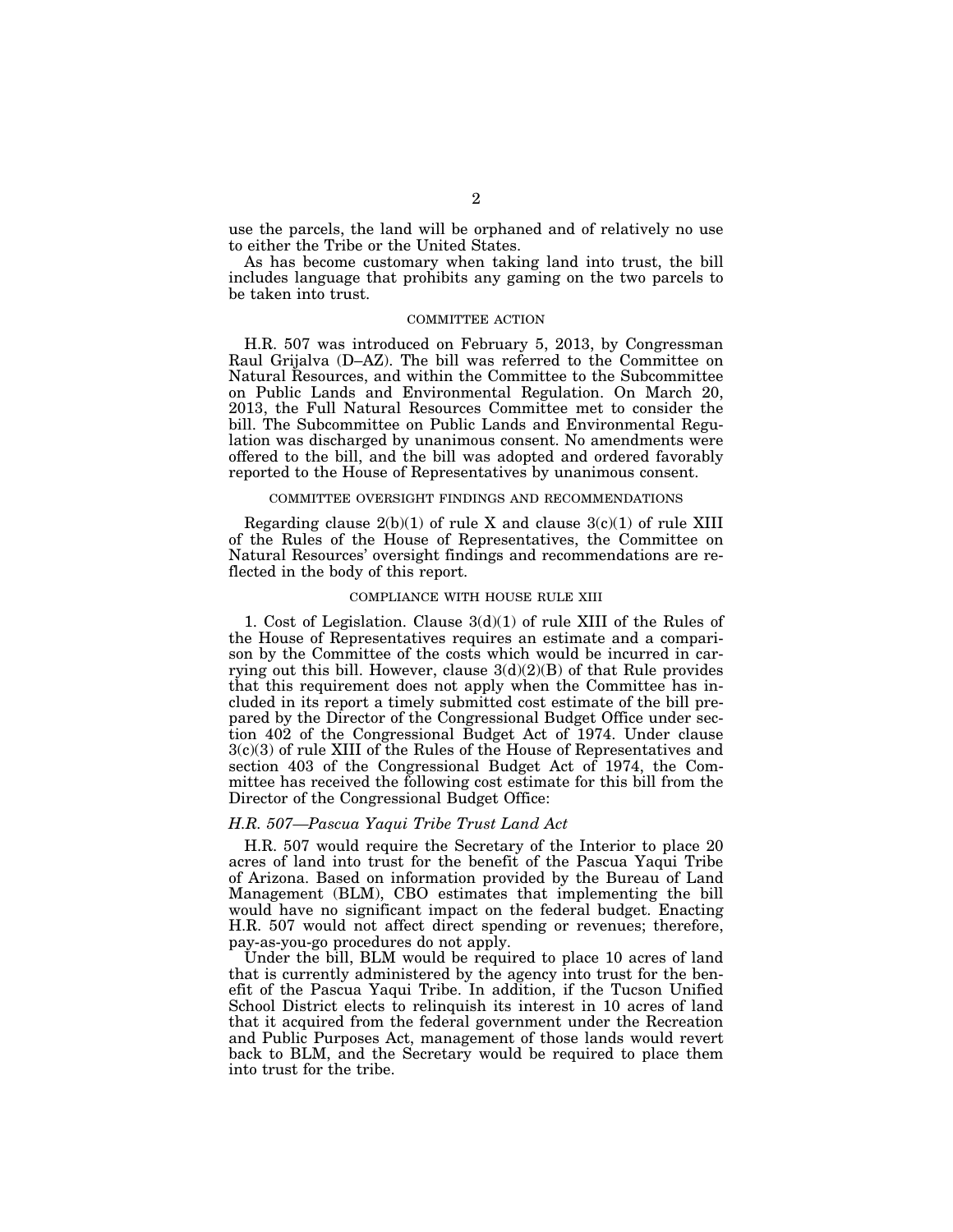use the parcels, the land will be orphaned and of relatively no use to either the Tribe or the United States.

As has become customary when taking land into trust, the bill includes language that prohibits any gaming on the two parcels to be taken into trust.

# COMMITTEE ACTION

H.R. 507 was introduced on February 5, 2013, by Congressman Raul Grijalva (D–AZ). The bill was referred to the Committee on Natural Resources, and within the Committee to the Subcommittee on Public Lands and Environmental Regulation. On March 20, 2013, the Full Natural Resources Committee met to consider the bill. The Subcommittee on Public Lands and Environmental Regulation was discharged by unanimous consent. No amendments were offered to the bill, and the bill was adopted and ordered favorably reported to the House of Representatives by unanimous consent.

# COMMITTEE OVERSIGHT FINDINGS AND RECOMMENDATIONS

Regarding clause  $2(b)(1)$  of rule X and clause  $3(c)(1)$  of rule XIII of the Rules of the House of Representatives, the Committee on Natural Resources' oversight findings and recommendations are reflected in the body of this report.

# COMPLIANCE WITH HOUSE RULE XIII

1. Cost of Legislation. Clause 3(d)(1) of rule XIII of the Rules of the House of Representatives requires an estimate and a comparison by the Committee of the costs which would be incurred in carrying out this bill. However, clause  $3(d)(2)(B)$  of that Rule provides that this requirement does not apply when the Committee has included in its report a timely submitted cost estimate of the bill prepared by the Director of the Congressional Budget Office under section 402 of the Congressional Budget Act of 1974. Under clause 3(c)(3) of rule XIII of the Rules of the House of Representatives and section 403 of the Congressional Budget Act of 1974, the Committee has received the following cost estimate for this bill from the Director of the Congressional Budget Office:

# *H.R. 507—Pascua Yaqui Tribe Trust Land Act*

H.R. 507 would require the Secretary of the Interior to place 20 acres of land into trust for the benefit of the Pascua Yaqui Tribe of Arizona. Based on information provided by the Bureau of Land Management (BLM), CBO estimates that implementing the bill would have no significant impact on the federal budget. Enacting H.R. 507 would not affect direct spending or revenues; therefore, pay-as-you-go procedures do not apply.

Under the bill, BLM would be required to place 10 acres of land that is currently administered by the agency into trust for the benefit of the Pascua Yaqui Tribe. In addition, if the Tucson Unified School District elects to relinquish its interest in 10 acres of land that it acquired from the federal government under the Recreation and Public Purposes Act, management of those lands would revert back to BLM, and the Secretary would be required to place them into trust for the tribe.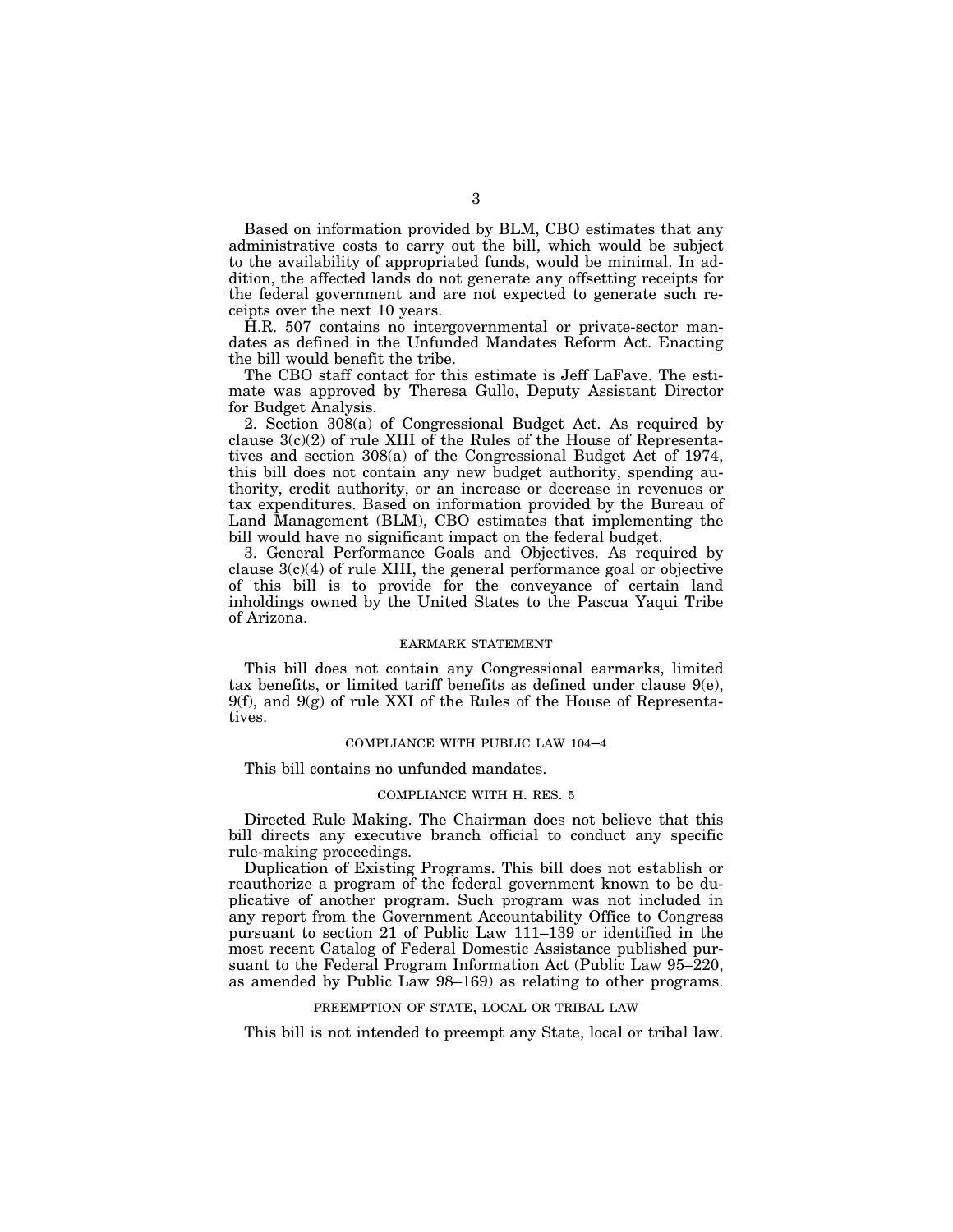Based on information provided by BLM, CBO estimates that any administrative costs to carry out the bill, which would be subject to the availability of appropriated funds, would be minimal. In addition, the affected lands do not generate any offsetting receipts for the federal government and are not expected to generate such receipts over the next 10 years.

H.R. 507 contains no intergovernmental or private-sector mandates as defined in the Unfunded Mandates Reform Act. Enacting the bill would benefit the tribe.

The CBO staff contact for this estimate is Jeff LaFave. The estimate was approved by Theresa Gullo, Deputy Assistant Director for Budget Analysis.

2. Section 308(a) of Congressional Budget Act. As required by clause 3(c)(2) of rule XIII of the Rules of the House of Representatives and section 308(a) of the Congressional Budget Act of 1974, this bill does not contain any new budget authority, spending authority, credit authority, or an increase or decrease in revenues or tax expenditures. Based on information provided by the Bureau of Land Management (BLM), CBO estimates that implementing the bill would have no significant impact on the federal budget.

3. General Performance Goals and Objectives. As required by clause  $3(c)(4)$  of rule XIII, the general performance goal or objective of this bill is to provide for the conveyance of certain land inholdings owned by the United States to the Pascua Yaqui Tribe of Arizona.

#### EARMARK STATEMENT

This bill does not contain any Congressional earmarks, limited tax benefits, or limited tariff benefits as defined under clause  $9(e)$ ,  $9(f)$ , and  $9(g)$  of rule XXI of the Rules of the House of Representatives.

# COMPLIANCE WITH PUBLIC LAW 104–4

This bill contains no unfunded mandates.

# COMPLIANCE WITH H. RES. 5

Directed Rule Making. The Chairman does not believe that this bill directs any executive branch official to conduct any specific rule-making proceedings.

Duplication of Existing Programs. This bill does not establish or reauthorize a program of the federal government known to be duplicative of another program. Such program was not included in any report from the Government Accountability Office to Congress pursuant to section 21 of Public Law 111–139 or identified in the most recent Catalog of Federal Domestic Assistance published pursuant to the Federal Program Information Act (Public Law 95–220, as amended by Public Law 98–169) as relating to other programs.

## PREEMPTION OF STATE, LOCAL OR TRIBAL LAW

This bill is not intended to preempt any State, local or tribal law.